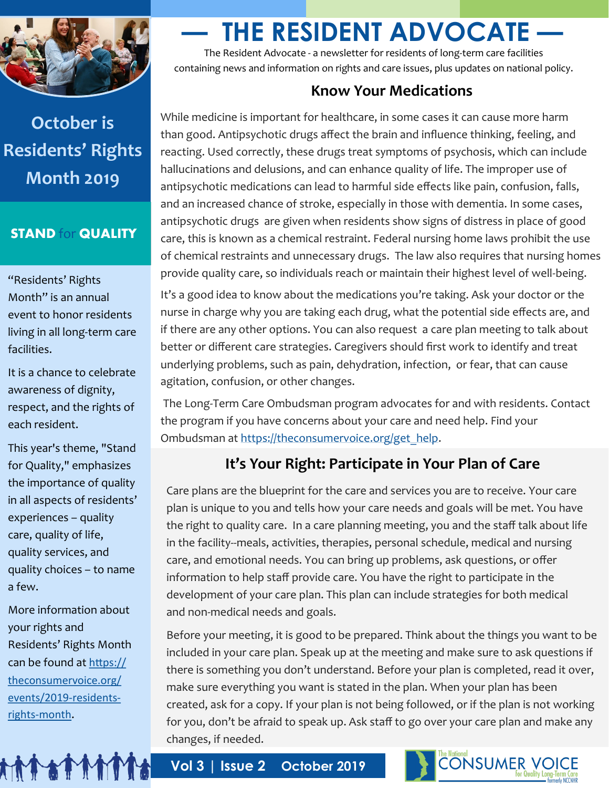

# **October is Residents' Rights Month 2019**

#### **STAND** for **QUALITY**

"Residents' Rights Month" is an annual event to honor residents living in all long-term care facilities.

It is a chance to celebrate awareness of dignity, respect, and the rights of each resident.

This year's theme, "Stand for Quality," emphasizes the importance of quality in all aspects of residents' experiences – quality care, quality of life, quality services, and quality choices – to name a few.

More information about your rights and Residents' Rights Month can be found at [https://](https://theconsumervoice.org/events/2019-residents-rights-month) [theconsumervoice.org/](https://theconsumervoice.org/events/2019-residents-rights-month) [events/2019](https://theconsumervoice.org/events/2019-residents-rights-month)-residentsrights-[month](https://theconsumervoice.org/events/2019-residents-rights-month).

**ATT ATT THAT A** 

# **— THE RESIDENT ADVOCATE —**

The Resident Advocate - a newsletter for residents of long-term care facilities containing news and information on rights and care issues, plus updates on national policy.

#### **Know Your Medications**

While medicine is important for healthcare, in some cases it can cause more harm than good. Antipsychotic drugs affect the brain and influence thinking, feeling, and reacting. Used correctly, these drugs treat symptoms of psychosis, which can include hallucinations and delusions, and can enhance quality of life. The improper use of antipsychotic medications can lead to harmful side effects like pain, confusion, falls, and an increased chance of stroke, especially in those with dementia. In some cases, antipsychotic drugs are given when residents show signs of distress in place of good care, this is known as a chemical restraint. Federal nursing home laws prohibit the use of chemical restraints and unnecessary drugs. The law also requires that nursing homes provide quality care, so individuals reach or maintain their highest level of well-being.

It's a good idea to know about the medications you're taking. Ask your doctor or the nurse in charge why you are taking each drug, what the potential side effects are, and if there are any other options. You can also request a care plan meeting to talk about better or different care strategies. Caregivers should first work to identify and treat underlying problems, such as pain, dehydration, infection, or fear, that can cause agitation, confusion, or other changes.

The Long-Term Care Ombudsman program advocates for and with residents. Contact the program if you have concerns about your care and need help. Find your Ombudsman at [https://theconsumervoice.org/get\\_help.](https://theconsumervoice.org/get_help)

## **It's Your Right: Participate in Your Plan of Care**

Care plans are the blueprint for the care and services you are to receive. Your care plan is unique to you and tells how your care needs and goals will be met. You have the right to quality care. In a care planning meeting, you and the staff talk about life in the facility--meals, activities, therapies, personal schedule, medical and nursing care, and emotional needs. You can bring up problems, ask questions, or offer information to help staff provide care. You have the right to participate in the development of your care plan. This plan can include strategies for both medical and non-medical needs and goals.

Before your meeting, it is good to be prepared. Think about the things you want to be included in your care plan. Speak up at the meeting and make sure to ask questions if there is something you don't understand. Before your plan is completed, read it over, make sure everything you want is stated in the plan. When your plan has been created, ask for a copy. If your plan is not being followed, or if the plan is not working for you, don't be afraid to speak up. Ask staff to go over your care plan and make any changes, if needed.